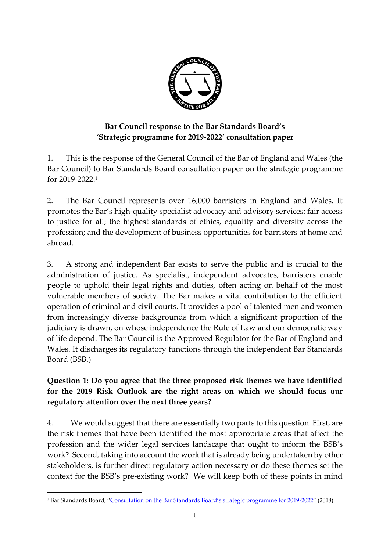

# **Bar Council response to the Bar Standards Board's 'Strategic programme for 2019-2022' consultation paper**

1. This is the response of the General Council of the Bar of England and Wales (the Bar Council) to Bar Standards Board consultation paper on the strategic programme for 2019-2022. 1

2. The Bar Council represents over 16,000 barristers in England and Wales. It promotes the Bar's high-quality specialist advocacy and advisory services; fair access to justice for all; the highest standards of ethics, equality and diversity across the profession; and the development of business opportunities for barristers at home and abroad.

3. A strong and independent Bar exists to serve the public and is crucial to the administration of justice. As specialist, independent advocates, barristers enable people to uphold their legal rights and duties, often acting on behalf of the most vulnerable members of society. The Bar makes a vital contribution to the efficient operation of criminal and civil courts. It provides a pool of talented men and women from increasingly diverse backgrounds from which a significant proportion of the judiciary is drawn, on whose independence the Rule of Law and our democratic way of life depend. The Bar Council is the Approved Regulator for the Bar of England and Wales. It discharges its regulatory functions through the independent Bar Standards Board (BSB.)

# **Question 1: Do you agree that the three proposed risk themes we have identified for the 2019 Risk Outlook are the right areas on which we should focus our regulatory attention over the next three years?**

4. We would suggest that there are essentially two parts to this question. First, are the risk themes that have been identified the most appropriate areas that affect the profession and the wider legal services landscape that ought to inform the BSB's work? Second, taking into account the work that is already being undertaken by other stakeholders, is further direct regulatory action necessary or do these themes set the context for the BSB's pre-existing work? We will keep both of these points in mind

1

<sup>&</sup>lt;sup>1</sup> Bar Standards Board, ["Consultation on the Bar Standards Board's strategic programme for 2019](https://www.barstandardsboard.org.uk/media/1961129/consultation_on_bsb_strategic_aims_2019-22.pdf)-2022" (2018)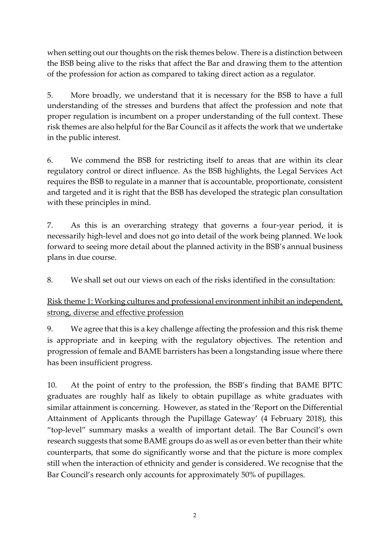when setting out our thoughts on the risk themes below. There is a distinction between the BSB being alive to the risks that affect the Bar and drawing them to the attention of the profession for action as compared to taking direct action as a regulator.

5. More broadly, we understand that it is necessary for the BSB to have a full understanding of the stresses and burdens that affect the profession and note that proper regulation is incumbent on a proper understanding of the full context. These risk themes are also helpful for the Bar Council as it affects the work that we undertake in the public interest.

6. We commend the BSB for restricting itself to areas that are within its clear regulatory control or direct influence. As the BSB highlights, the Legal Services Act requires the BSB to regulate in a manner that is accountable, proportionate, consistent and targeted and it is right that the BSB has developed the strategic plan consultation with these principles in mind.

7. As this is an overarching strategy that governs a four-year period, it is necessarily high-level and does not go into detail of the work being planned. We look forward to seeing more detail about the planned activity in the BSB's annual business plans in due course.

8. We shall set out our views on each of the risks identified in the consultation:

Risk theme 1: Working cultures and professional environment inhibit an independent, strong, diverse and effective profession

9. We agree that this is a key challenge affecting the profession and this risk theme is appropriate and in keeping with the regulatory objectives. The retention and progression of female and BAME barristers has been a longstanding issue where there has been insufficient progress.

10. At the point of entry to the profession, the BSB's finding that BAME BPTC graduates are roughly half as likely to obtain pupillage as white graduates with similar attainment is concerning. However, as stated in the 'Report on the Differential Attainment of Applicants through the Pupillage Gateway' (4 February 2018), this "top-level" summary masks a wealth of important detail. The Bar Council's own research suggests that some BAME groups do as well as or even better than their white counterparts, that some do significantly worse and that the picture is more complex still when the interaction of ethnicity and gender is considered. We recognise that the Bar Council's research only accounts for approximately 50% of pupillages.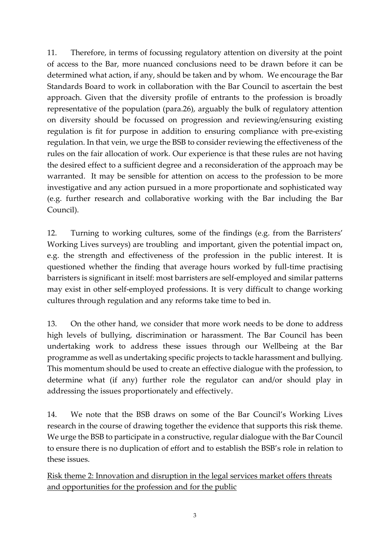11. Therefore, in terms of focussing regulatory attention on diversity at the point of access to the Bar, more nuanced conclusions need to be drawn before it can be determined what action, if any, should be taken and by whom. We encourage the Bar Standards Board to work in collaboration with the Bar Council to ascertain the best approach. Given that the diversity profile of entrants to the profession is broadly representative of the population (para.26), arguably the bulk of regulatory attention on diversity should be focussed on progression and reviewing/ensuring existing regulation is fit for purpose in addition to ensuring compliance with pre-existing regulation. In that vein, we urge the BSB to consider reviewing the effectiveness of the rules on the fair allocation of work. Our experience is that these rules are not having the desired effect to a sufficient degree and a reconsideration of the approach may be warranted. It may be sensible for attention on access to the profession to be more investigative and any action pursued in a more proportionate and sophisticated way (e.g. further research and collaborative working with the Bar including the Bar Council).

12. Turning to working cultures, some of the findings (e.g. from the Barristers' Working Lives surveys) are troubling and important, given the potential impact on, e.g. the strength and effectiveness of the profession in the public interest. It is questioned whether the finding that average hours worked by full-time practising barristers is significant in itself: most barristers are self-employed and similar patterns may exist in other self-employed professions. It is very difficult to change working cultures through regulation and any reforms take time to bed in.

13. On the other hand, we consider that more work needs to be done to address high levels of bullying, discrimination or harassment. The Bar Council has been undertaking work to address these issues through our Wellbeing at the Bar programme as well as undertaking specific projects to tackle harassment and bullying. This momentum should be used to create an effective dialogue with the profession, to determine what (if any) further role the regulator can and/or should play in addressing the issues proportionately and effectively.

14. We note that the BSB draws on some of the Bar Council's Working Lives research in the course of drawing together the evidence that supports this risk theme. We urge the BSB to participate in a constructive, regular dialogue with the Bar Council to ensure there is no duplication of effort and to establish the BSB's role in relation to these issues.

Risk theme 2: Innovation and disruption in the legal services market offers threats and opportunities for the profession and for the public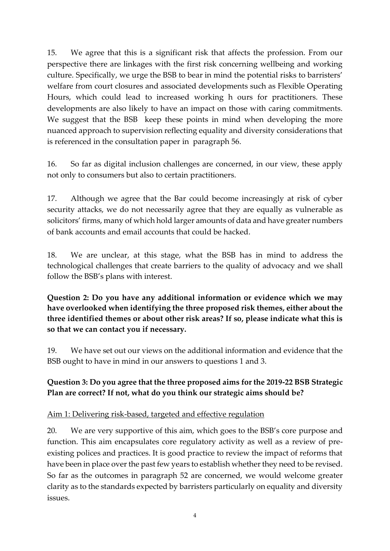15. We agree that this is a significant risk that affects the profession. From our perspective there are linkages with the first risk concerning wellbeing and working culture. Specifically, we urge the BSB to bear in mind the potential risks to barristers' welfare from court closures and associated developments such as Flexible Operating Hours, which could lead to increased working h ours for practitioners. These developments are also likely to have an impact on those with caring commitments. We suggest that the BSB keep these points in mind when developing the more nuanced approach to supervision reflecting equality and diversity considerations that is referenced in the consultation paper in paragraph 56.

16. So far as digital inclusion challenges are concerned, in our view, these apply not only to consumers but also to certain practitioners.

17. Although we agree that the Bar could become increasingly at risk of cyber security attacks, we do not necessarily agree that they are equally as vulnerable as solicitors' firms, many of which hold larger amounts of data and have greater numbers of bank accounts and email accounts that could be hacked.

18. We are unclear, at this stage, what the BSB has in mind to address the technological challenges that create barriers to the quality of advocacy and we shall follow the BSB's plans with interest.

**Question 2: Do you have any additional information or evidence which we may have overlooked when identifying the three proposed risk themes, either about the three identified themes or about other risk areas? If so, please indicate what this is so that we can contact you if necessary.**

19. We have set out our views on the additional information and evidence that the BSB ought to have in mind in our answers to questions 1 and 3.

#### **Question 3: Do you agree that the three proposed aims for the 2019-22 BSB Strategic Plan are correct? If not, what do you think our strategic aims should be?**

#### Aim 1: Delivering risk-based, targeted and effective regulation

20. We are very supportive of this aim, which goes to the BSB's core purpose and function. This aim encapsulates core regulatory activity as well as a review of preexisting polices and practices. It is good practice to review the impact of reforms that have been in place over the past few years to establish whether they need to be revised. So far as the outcomes in paragraph 52 are concerned, we would welcome greater clarity as to the standards expected by barristers particularly on equality and diversity issues.